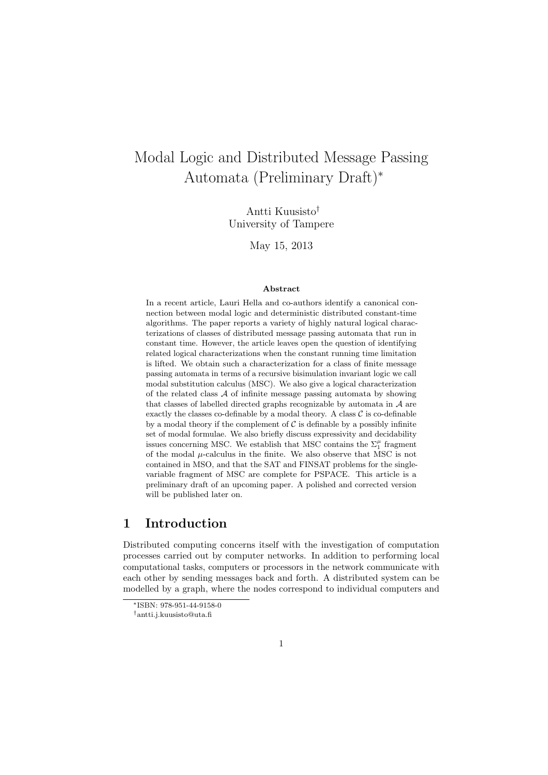# Modal Logic and Distributed Message Passing Automata (Preliminary Draft)<sup>∗</sup>

Antti Kuusisto† University of Tampere

May 15, 2013

#### Abstract

In a recent article, Lauri Hella and co-authors identify a canonical connection between modal logic and deterministic distributed constant-time algorithms. The paper reports a variety of highly natural logical characterizations of classes of distributed message passing automata that run in constant time. However, the article leaves open the question of identifying related logical characterizations when the constant running time limitation is lifted. We obtain such a characterization for a class of finite message passing automata in terms of a recursive bisimulation invariant logic we call modal substitution calculus (MSC). We also give a logical characterization of the related class  $A$  of infinite message passing automata by showing that classes of labelled directed graphs recognizable by automata in  $A$  are exactly the classes co-definable by a modal theory. A class  $C$  is co-definable by a modal theory if the complement of  $\mathcal C$  is definable by a possibly infinite set of modal formulae. We also briefly discuss expressivity and decidability issues concerning MSC. We establish that MSC contains the  $\Sigma_1^\mu$  fragment of the modal  $\mu$ -calculus in the finite. We also observe that MSC is not contained in MSO, and that the SAT and FINSAT problems for the singlevariable fragment of MSC are complete for PSPACE. This article is a preliminary draft of an upcoming paper. A polished and corrected version will be published later on.

#### 1 Introduction

Distributed computing concerns itself with the investigation of computation processes carried out by computer networks. In addition to performing local computational tasks, computers or processors in the network communicate with each other by sending messages back and forth. A distributed system can be modelled by a graph, where the nodes correspond to individual computers and

<sup>∗</sup>ISBN: 978-951-44-9158-0

<sup>†</sup>antti.j.kuusisto@uta.fi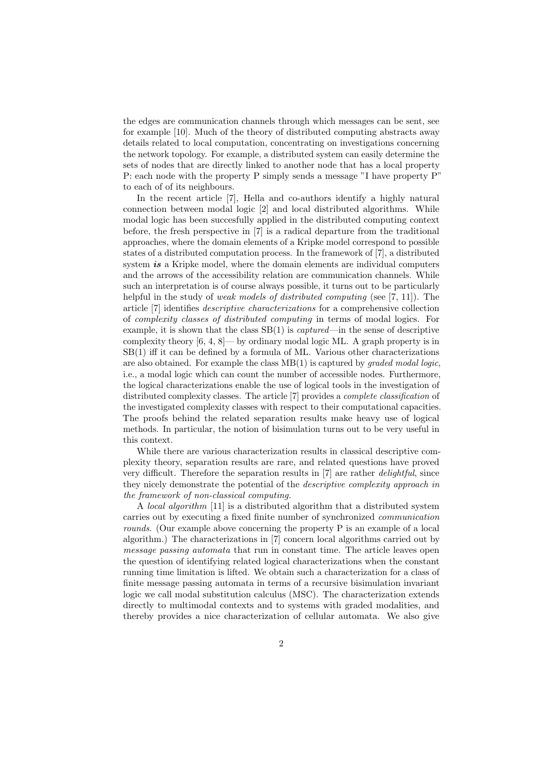the edges are communication channels through which messages can be sent, see for example [10]. Much of the theory of distributed computing abstracts away details related to local computation, concentrating on investigations concerning the network topology. For example, a distributed system can easily determine the sets of nodes that are directly linked to another node that has a local property P: each node with the property P simply sends a message "I have property P" to each of of its neighbours.

In the recent article [7], Hella and co-authors identify a highly natural connection between modal logic [2] and local distributed algorithms. While modal logic has been succesfully applied in the distributed computing context before, the fresh perspective in [7] is a radical departure from the traditional approaches, where the domain elements of a Kripke model correspond to possible states of a distributed computation process. In the framework of [7], a distributed system  $i\mathbf{s}$  a Kripke model, where the domain elements are individual computers and the arrows of the accessibility relation are communication channels. While such an interpretation is of course always possible, it turns out to be particularly helpful in the study of *weak models of distributed computing* (see [7, 11]). The article [7] identifies descriptive characterizations for a comprehensive collection of complexity classes of distributed computing in terms of modal logics. For example, it is shown that the class  $SB(1)$  is *captured*—in the sense of descriptive complexity theory  $[6, 4, 8]$ — by ordinary modal logic ML. A graph property is in  $SB(1)$  iff it can be defined by a formula of ML. Various other characterizations are also obtained. For example the class MB(1) is captured by graded modal logic, i.e., a modal logic which can count the number of accessible nodes. Furthermore, the logical characterizations enable the use of logical tools in the investigation of distributed complexity classes. The article [7] provides a complete classification of the investigated complexity classes with respect to their computational capacities. The proofs behind the related separation results make heavy use of logical methods. In particular, the notion of bisimulation turns out to be very useful in this context.

While there are various characterization results in classical descriptive complexity theory, separation results are rare, and related questions have proved very difficult. Therefore the separation results in [7] are rather delightful, since they nicely demonstrate the potential of the descriptive complexity approach in the framework of non-classical computing.

A local algorithm [11] is a distributed algorithm that a distributed system carries out by executing a fixed finite number of synchronized communication rounds. (Our example above concerning the property P is an example of a local algorithm.) The characterizations in [7] concern local algorithms carried out by message passing automata that run in constant time. The article leaves open the question of identifying related logical characterizations when the constant running time limitation is lifted. We obtain such a characterization for a class of finite message passing automata in terms of a recursive bisimulation invariant logic we call modal substitution calculus (MSC). The characterization extends directly to multimodal contexts and to systems with graded modalities, and thereby provides a nice characterization of cellular automata. We also give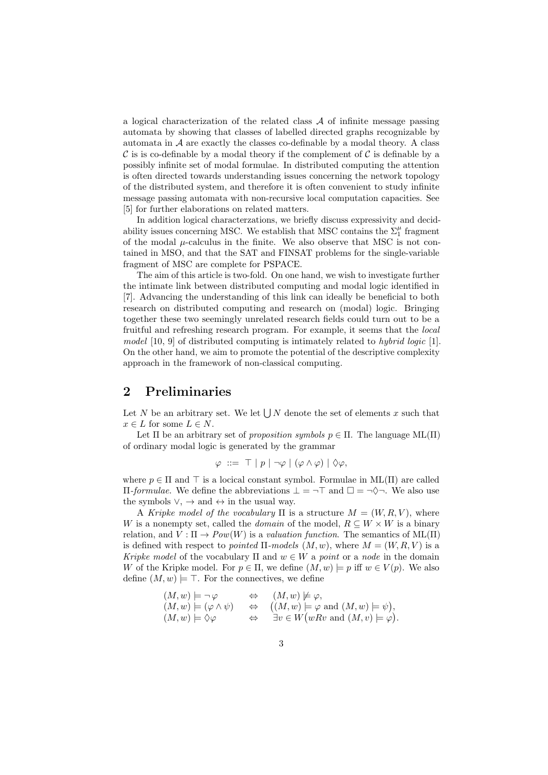a logical characterization of the related class  $A$  of infinite message passing automata by showing that classes of labelled directed graphs recognizable by automata in  $A$  are exactly the classes co-definable by a modal theory. A class  $\mathcal C$  is is co-definable by a modal theory if the complement of  $\mathcal C$  is definable by a possibly infinite set of modal formulae. In distributed computing the attention is often directed towards understanding issues concerning the network topology of the distributed system, and therefore it is often convenient to study infinite message passing automata with non-recursive local computation capacities. See [5] for further elaborations on related matters.

In addition logical characterzations, we briefly discuss expressivity and decidability issues concerning MSC. We establish that MSC contains the  $\Sigma_1^{\mu}$  fragment of the modal  $\mu$ -calculus in the finite. We also observe that MSC is not contained in MSO, and that the SAT and FINSAT problems for the single-variable fragment of MSC are complete for PSPACE.

The aim of this article is two-fold. On one hand, we wish to investigate further the intimate link between distributed computing and modal logic identified in [7]. Advancing the understanding of this link can ideally be beneficial to both research on distributed computing and research on (modal) logic. Bringing together these two seemingly unrelated research fields could turn out to be a fruitful and refreshing research program. For example, it seems that the local model [10, 9] of distributed computing is intimately related to hybrid logic [1]. On the other hand, we aim to promote the potential of the descriptive complexity approach in the framework of non-classical computing.

#### 2 Preliminaries

Let N be an arbitrary set. We let  $\bigcup N$  denote the set of elements x such that  $x \in L$  for some  $L \in N$ .

Let  $\Pi$  be an arbitrary set of proposition symbols  $p \in \Pi$ . The language  $ML(\Pi)$ of ordinary modal logic is generated by the grammar

$$
\varphi \ ::= \top | p | \neg \varphi | (\varphi \land \varphi) | \Diamond \varphi,
$$

where  $p \in \Pi$  and  $\top$  is a locical constant symbol. Formulae in ML( $\Pi$ ) are called  $\Pi$ -*formulae*. We define the abbreviations  $\bot = \neg \top$  and  $\Box = \neg \Diamond \neg$ . We also use the symbols  $\vee$ ,  $\rightarrow$  and  $\leftrightarrow$  in the usual way.

A Kripke model of the vocabulary  $\Pi$  is a structure  $M = (W, R, V)$ , where W is a nonempty set, called the *domain* of the model,  $R \subseteq W \times W$  is a binary relation, and  $V : \Pi \to Pow(W)$  is a valuation function. The semantics of ML( $\Pi$ ) is defined with respect to *pointed*  $\Pi$ -models  $(M, w)$ , where  $M = (W, R, V)$  is a Kripke model of the vocabulary  $\Pi$  and  $w \in W$  a point or a node in the domain W of the Kripke model. For  $p \in \Pi$ , we define  $(M, w) \models p$  iff  $w \in V(p)$ . We also define  $(M, w) \models \top$ . For the connectives, we define

$$
(M, w) \models \neg \varphi \Leftrightarrow (M, w) \not\models \varphi, (M, w) \models (\varphi \land \psi) \Leftrightarrow ((M, w) \models \varphi \text{ and } (M, w) \models \psi), (M, w) \models \Diamond \varphi \Leftrightarrow \exists v \in W(wRv \text{ and } (M, v) \models \varphi).
$$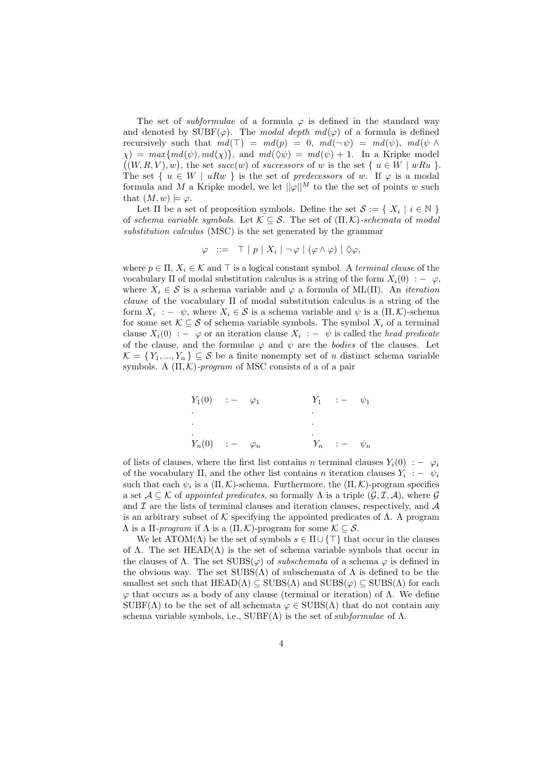The set of *subformulae* of a formula  $\varphi$  is defined in the standard way and denoted by  $\text{SUBF}(\varphi)$ . The modal depth  $md(\varphi)$  of a formula is defined recursively such that  $md(\top) = md(p) = 0$ ,  $md(\neg \psi) = md(\psi)$ ,  $md(\psi \land$  $\chi$ ) = max{md( $\psi$ ), md( $\chi$ )}, and md( $\Diamond \psi$ ) = md( $\psi$ ) + 1. In a Kripke model  $((W, R, V), w)$ , the set succ(w) of successors of w is the set  $\{u \in W \mid wRu\}$ . The set {  $u \in W \mid uRw$  } is the set of predecessors of w. If  $\varphi$  is a modal formula and M a Kripke model, we let  $\|\varphi\|^M$  to the the set of points w such that  $(M, w) \models \varphi$ .

Let  $\Pi$  be a set of proposition symbols. Define the set  $\mathcal{S} := \{ X_i \mid i \in \mathbb{N} \}$ of schema variable symbols. Let  $\mathcal{K} \subseteq \mathcal{S}$ . The set of  $(\Pi, \mathcal{K})$ -schemata of modal substitution calculus (MSC) is the set generated by the grammar

$$
\varphi \ ::= \top | p | X_i | \neg \varphi | (\varphi \land \varphi) | \Diamond \varphi,
$$

where  $p \in \Pi$ ,  $X_i \in \mathcal{K}$  and  $\top$  is a logical constant symbol. A terminal clause of the vocabulary  $\Pi$  of modal substitution calculus is a string of the form  $X_i(0) := \varphi$ . where  $X_i \in \mathcal{S}$  is a schema variable and  $\varphi$  a formula of ML(Π). An *iteration* clause of the vocabulary Π of modal substitution calculus is a string of the form  $X_i$ : –  $\psi$ , where  $X_i \in \mathcal{S}$  is a schema variable and  $\psi$  is a  $(\Pi, \mathcal{K})$ -schema for some set  $\mathcal{K} \subseteq \mathcal{S}$  of schema variable symbols. The symbol  $X_i$  of a terminal clause  $X_i(0)$ : –  $\varphi$  or an iteration clause  $X_i$ : –  $\psi$  is called the *head predicate* of the clause, and the formulae  $\varphi$  and  $\psi$  are the *bodies* of the clauses. Let  $\mathcal{K} = \{Y_1, ..., Y_n\} \subseteq \mathcal{S}$  be a finite nonempty set of n distinct schema variable symbols. A  $(\Pi, \mathcal{K})$ -program of MSC consists of a of a pair

$$
Y_1(0) \quad : - \quad \varphi_1 \qquad Y_1 \quad : - \quad \psi_1
$$
\n
$$
\vdots
$$
\n
$$
\vdots
$$
\n
$$
Y_n(0) \quad : - \quad \varphi_n \qquad Y_n \quad : - \quad \psi_n
$$

of lists of clauses, where the first list contains n terminal clauses  $Y_i(0) := \varphi_i$ of the vocabulary  $\Pi$ , and the other list contains n iteration clauses  $Y_i$ :  $\psi_i$ such that each  $\psi_i$  is a  $(\Pi, \mathcal{K})$ -schema. Furthermore, the  $(\Pi, \mathcal{K})$ -program specifies a set  $A \subseteq \mathcal{K}$  of appointed predicates, so formally  $\Lambda$  is a triple  $(\mathcal{G}, \mathcal{I}, \mathcal{A})$ , where  $\mathcal{G}$ and  $\mathcal I$  are the lists of terminal clauses and iteration clauses, respectively, and  $\mathcal A$ is an arbitrary subset of K specifying the appointed predicates of  $\Lambda$ . A program  $Λ$  is a  $\Pi$ -program if  $Λ$  is a  $(\Pi, K)$ -program for some  $K \subseteq S$ .

We let  $\text{ATOM}(\Lambda)$  be the set of symbols  $s \in \Pi \cup \{\top\}$  that occur in the clauses of  $\Lambda$ . The set HEAD( $\Lambda$ ) is the set of schema variable symbols that occur in the clauses of  $\Lambda$ . The set  $SUBS(\varphi)$  of *subschemata* of a schema  $\varphi$  is defined in the obvious way. The set  $SUBS(\Lambda)$  of subschemata of  $\Lambda$  is defined to be the smallest set such that  $HEAD(\Lambda) \subseteq SUBS(\Lambda)$  and  $SUBS(\varphi) \subseteq SUBS(\Lambda)$  for each  $\varphi$  that occurs as a body of any clause (terminal or iteration) of  $\Lambda$ . We define  $SUBF(\Lambda)$  to be the set of all schemata  $\varphi \in SUBS(\Lambda)$  that do not contain any schema variable symbols, i.e.,  $SUBF(\Lambda)$  is the set of subformulae of  $\Lambda$ .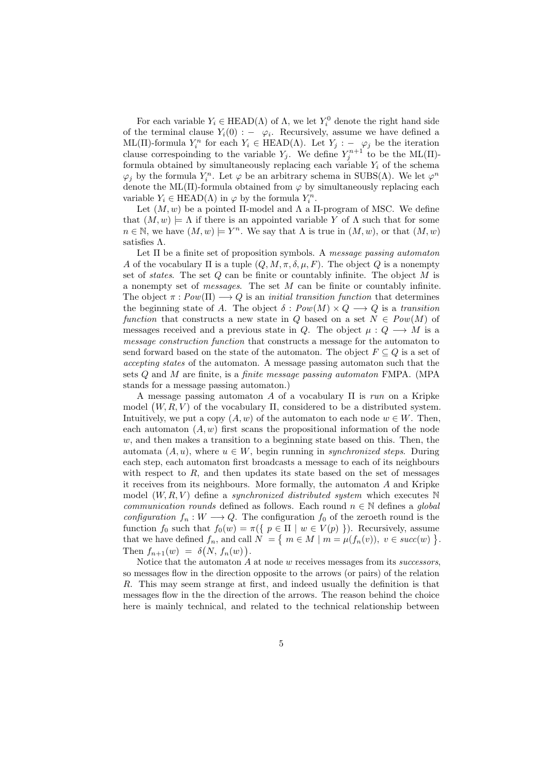For each variable  $Y_i \in \text{HEAD}(\Lambda)$  of  $\Lambda$ , we let  $Y_i^0$  denote the right hand side of the terminal clause  $Y_i(0)$  :  $-\varphi_i$ . Recursively, assume we have defined a ML(Π)-formula  $Y_i^n$  for each  $Y_i \in \text{HEAD}(\Lambda)$ . Let  $Y_j : -\varphi_j$  be the iteration clause correspoinding to the variable  $Y_j$ . We define  $Y_j^{n+1}$  to be the ML(II)formula obtained by simultaneously replacing each variable  $Y_i$  of the schema  $\varphi_j$  by the formula  $Y_i^n$ . Let  $\varphi$  be an arbitrary schema in SUBS( $\Lambda$ ). We let  $\varphi^n$ denote the ML( $\Pi$ )-formula obtained from  $\varphi$  by simultaneously replacing each variable  $Y_i \in \text{HEAD}(\Lambda)$  in  $\varphi$  by the formula  $Y_i^n$ .

Let  $(M, w)$  be a pointed II-model and  $\Lambda$  a II-program of MSC. We define that  $(M, w) \models \Lambda$  if there is an appointed variable Y of  $\Lambda$  such that for some  $n \in \mathbb{N}$ , we have  $(M, w) \models Y^n$ . We say that  $\Lambda$  is true in  $(M, w)$ , or that  $(M, w)$ satisfies Λ.

Let  $\Pi$  be a finite set of proposition symbols. A message passing automaton A of the vocabulary  $\Pi$  is a tuple  $(Q, M, \pi, \delta, \mu, F)$ . The object Q is a nonempty set of *states*. The set  $Q$  can be finite or countably infinite. The object  $M$  is a nonempty set of messages. The set M can be finite or countably infinite. The object  $\pi: Pow(\Pi) \longrightarrow Q$  is an *initial transition function* that determines the beginning state of A. The object  $\delta : Pow(M) \times Q \longrightarrow Q$  is a transition function that constructs a new state in Q based on a set  $N \in Pow(M)$  of messages received and a previous state in Q. The object  $\mu: Q \longrightarrow M$  is a message construction function that constructs a message for the automaton to send forward based on the state of the automaton. The object  $F \subseteq Q$  is a set of accepting states of the automaton. A message passing automaton such that the sets Q and M are finite, is a finite message passing automaton FMPA. (MPA stands for a message passing automaton.)

A message passing automaton A of a vocabulary  $\Pi$  is run on a Kripke model  $(W, R, V)$  of the vocabulary  $\Pi$ , considered to be a distributed system. Intuitively, we put a copy  $(A, w)$  of the automaton to each node  $w \in W$ . Then, each automaton  $(A, w)$  first scans the propositional information of the node  $w$ , and then makes a transition to a beginning state based on this. Then, the automata  $(A, u)$ , where  $u \in W$ , begin running in *synchronized steps*. During each step, each automaton first broadcasts a message to each of its neighbours with respect to  $R$ , and then updates its state based on the set of messages it receives from its neighbours. More formally, the automaton A and Kripke model  $(W, R, V)$  define a *synchronized distributed system* which executes N communication rounds defined as follows. Each round  $n \in \mathbb{N}$  defines a global configuration  $f_n : W \longrightarrow Q$ . The configuration  $f_0$  of the zeroeth round is the function  $f_0$  such that  $f_0(w) = \pi({p \in \Pi \mid w \in V(p) })$ . Recursively, assume that we have defined  $f_n$ , and call  $N = \{ m \in M \mid m = \mu(f_n(v)), v \in succ(w) \}.$ Then  $f_{n+1}(w) = \delta(N, f_n(w)).$ 

Notice that the automaton  $A$  at node  $w$  receives messages from its successors, so messages flow in the direction opposite to the arrows (or pairs) of the relation R. This may seem strange at first, and indeed usually the definition is that messages flow in the the direction of the arrows. The reason behind the choice here is mainly technical, and related to the technical relationship between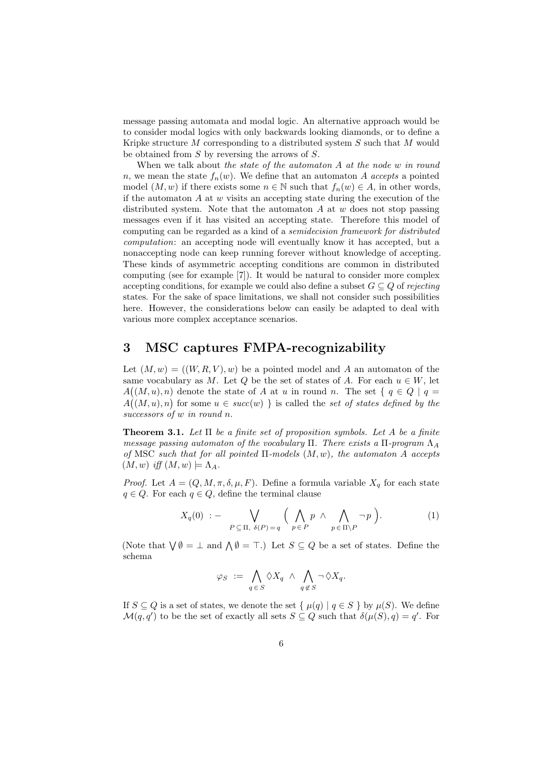message passing automata and modal logic. An alternative approach would be to consider modal logics with only backwards looking diamonds, or to define a Kripke structure M corresponding to a distributed system S such that M would be obtained from S by reversing the arrows of S.

When we talk about the state of the automaton A at the node w in round n, we mean the state  $f_n(w)$ . We define that an automaton A accepts a pointed model  $(M, w)$  if there exists some  $n \in \mathbb{N}$  such that  $f_n(w) \in A$ , in other words, if the automaton  $A$  at  $w$  visits an accepting state during the execution of the distributed system. Note that the automaton A at  $w$  does not stop passing messages even if it has visited an accepting state. Therefore this model of computing can be regarded as a kind of a semidecision framework for distributed computation: an accepting node will eventually know it has accepted, but a nonaccepting node can keep running forever without knowledge of accepting. These kinds of asymmetric accepting conditions are common in distributed computing (see for example [7]). It would be natural to consider more complex accepting conditions, for example we could also define a subset  $G \subseteq Q$  of rejecting states. For the sake of space limitations, we shall not consider such possibilities here. However, the considerations below can easily be adapted to deal with various more complex acceptance scenarios.

#### 3 MSC captures FMPA-recognizability

Let  $(M, w) = ((W, R, V), w)$  be a pointed model and A an automaton of the same vocabulary as M. Let Q be the set of states of A. For each  $u \in W$ , let  $A((M, u), n)$  denote the state of A at u in round n. The set  $\{q \in Q \mid q =$  $A((M, u), n)$  for some  $u \in succ(w)$  is called the set of states defined by the successors of w in round n.

**Theorem 3.1.** Let  $\Pi$  be a finite set of proposition symbols. Let A be a finite message passing automaton of the vocabulary Π. There exists a  $\Pi$ -program  $\Lambda_A$ of MSC such that for all pointed  $\Pi$ -models  $(M, w)$ , the automaton A accepts  $(M, w)$  iff  $(M, w) \models \Lambda_A$ .

*Proof.* Let  $A = (Q, M, \pi, \delta, \mu, F)$ . Define a formula variable  $X_q$  for each state  $q \in Q$ . For each  $q \in Q$ , define the terminal clause

$$
X_q(0) := \bigvee_{P \subseteq \Pi, \ \delta(P) = q} \Big( \bigwedge_{p \in P} p \land \bigwedge_{p \in \Pi \backslash P} \neg p \Big). \tag{1}
$$

(Note that  $\bigvee \emptyset = \bot$  and  $\bigwedge \emptyset = \top$ .) Let  $S \subseteq Q$  be a set of states. Define the schema

$$
\varphi_S \ := \ \bigwedge_{q \in S} \Diamond X_q \ \land \ \bigwedge_{q \notin S} \neg \Diamond X_q.
$$

If  $S \subseteq Q$  is a set of states, we denote the set  $\{ \mu(q) | q \in S \}$  by  $\mu(S)$ . We define  $\mathcal{M}(q,q')$  to be the set of exactly all sets  $S \subseteq Q$  such that  $\delta(\mu(S), q) = q'$ . For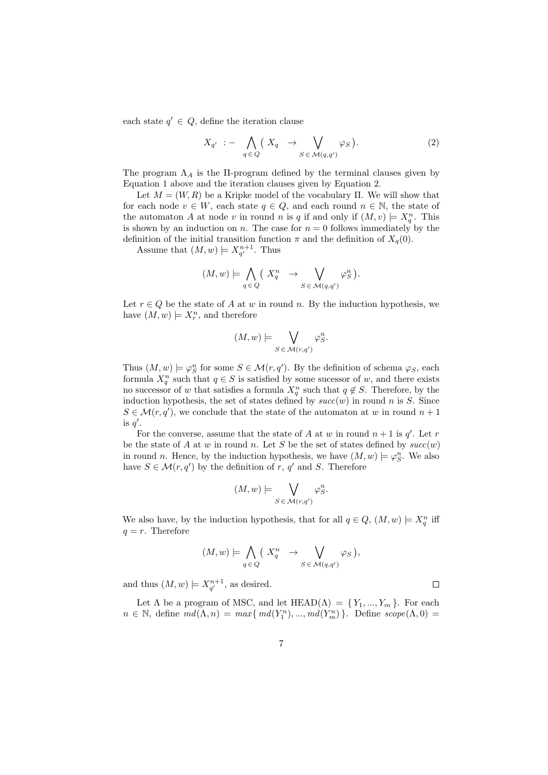each state  $q' \in Q$ , define the iteration clause

$$
X_{q'} := \bigwedge_{q \in Q} \left( X_q \to \bigvee_{S \in \mathcal{M}(q,q')} \varphi_S \right). \tag{2}
$$

The program  $\Lambda_A$  is the II-program defined by the terminal clauses given by Equation 1 above and the iteration clauses given by Equation 2.

Let  $M = (W, R)$  be a Kripke model of the vocabulary Π. We will show that for each node  $v \in W$ , each state  $q \in Q$ , and each round  $n \in \mathbb{N}$ , the state of the automaton A at node v in round n is q if and only if  $(M, v) \models X_q^n$ . This is shown by an induction on n. The case for  $n = 0$  follows immediately by the definition of the initial transition function  $\pi$  and the definition of  $X_q(0)$ .

Assume that  $(M, w) \models X_{q'}^{n+1}$ . Thus

$$
(M, w) \models \bigwedge_{q \in Q} \left( X_q^n \rightarrow \bigvee_{S \in \mathcal{M}(q, q')} \varphi_S^n \right).
$$

Let  $r \in Q$  be the state of A at w in round n. By the induction hypothesis, we have  $(M, w) \models X_r^n$ , and therefore

$$
(M, w) \models \bigvee_{S \in \mathcal{M}(r, q')} \varphi_S^n.
$$

Thus  $(M, w) \models \varphi_S^n$  for some  $S \in \mathcal{M}(r, q')$ . By the definition of schema  $\varphi_S$ , each formula  $X_q^n$  such that  $q \in S$  is satisfied by some sucessor of w, and there exists no successor of w that satisfies a formula  $X_q^n$  such that  $q \notin S$ . Therefore, by the induction hypothesis, the set of states defined by  $succ(w)$  in round n is S. Since  $S \in \mathcal{M}(r, q')$ , we conclude that the state of the automaton at w in round  $n + 1$ is  $q'$ .

For the converse, assume that the state of A at w in round  $n + 1$  is  $q'$ . Let r be the state of A at w in round n. Let S be the set of states defined by  $succ(w)$ in round n. Hence, by the induction hypothesis, we have  $(M, w) \models \varphi_S^n$ . We also have  $S \in \mathcal{M}(r, q')$  by the definition of r, q' and S. Therefore

$$
(M, w) \models \bigvee_{S \in \mathcal{M}(r, q')} \varphi_S^n.
$$

We also have, by the induction hypothesis, that for all  $q \in Q$ ,  $(M, w) \models X_q^n$  iff  $q = r$ . Therefore

$$
(M, w) \models \bigwedge_{q \in Q} \left( X_q^n \rightarrow \bigvee_{S \in \mathcal{M}(q, q')} \varphi_S \right),
$$

 $\Box$ 

and thus  $(M, w) \models X_{q'}^{n+1}$ , as desired.

Let  $\Lambda$  be a program of MSC, and let HEAD( $\Lambda$ ) = { $Y_1, ..., Y_m$ }. For each  $n \in \mathbb{N}$ , define  $md(\Lambda, n) = max{ md(Y_1^n), ..., md(Y_m^n)}$ . Define  $scope(\Lambda, 0)$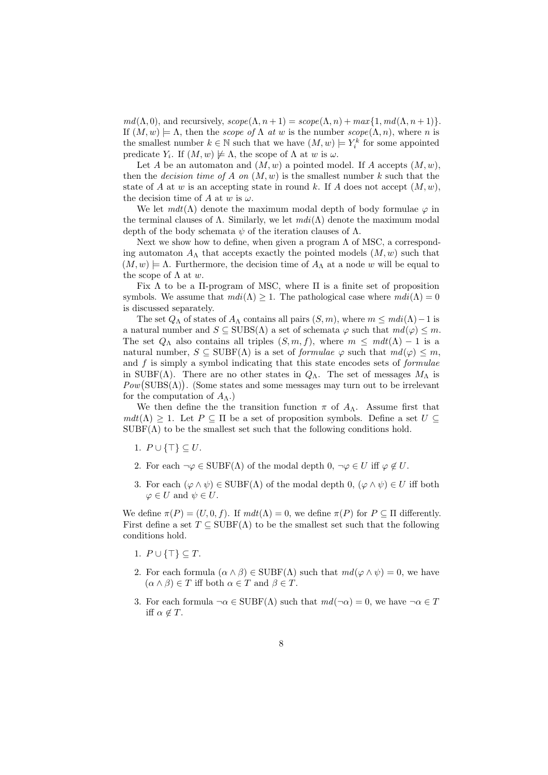$md(\Lambda, 0)$ , and recursively,  $scope(\Lambda, n+1) = scope(\Lambda, n) + max\{1, md(\Lambda, n+1)\}.$ If  $(M, w) \models \Lambda$ , then the *scope of*  $\Lambda$  *at w* is the number  $scope(\Lambda, n)$ , where *n* is the smallest number  $k \in \mathbb{N}$  such that we have  $(M, w) \models Y_i^k$  for some appointed predicate  $Y_i$ . If  $(M, w) \not\models \Lambda$ , the scope of  $\Lambda$  at w is  $\omega$ .

Let A be an automaton and  $(M, w)$  a pointed model. If A accepts  $(M, w)$ , then the *decision time of A on*  $(M, w)$  is the smallest number k such that the state of A at w is an accepting state in round k. If A does not accept  $(M, w)$ , the decision time of A at w is  $\omega$ .

We let  $mdt(\Lambda)$  denote the maximum modal depth of body formulae  $\varphi$  in the terminal clauses of  $\Lambda$ . Similarly, we let  $mdi(\Lambda)$  denote the maximum modal depth of the body schemata  $\psi$  of the iteration clauses of  $\Lambda$ .

Next we show how to define, when given a program  $\Lambda$  of MSC, a corresponding automaton  $A_{\Lambda}$  that accepts exactly the pointed models  $(M, w)$  such that  $(M, w) \models \Lambda$ . Furthermore, the decision time of  $A_{\Lambda}$  at a node w will be equal to the scope of  $\Lambda$  at w.

Fix  $\Lambda$  to be a II-program of MSC, where  $\Pi$  is a finite set of proposition symbols. We assume that  $mdi(\Lambda) \geq 1$ . The pathological case where  $mdi(\Lambda) = 0$ is discussed separately.

The set  $Q_{\Lambda}$  of states of  $A_{\Lambda}$  contains all pairs  $(S, m)$ , where  $m \leq m di(\Lambda) - 1$  is a natural number and  $S \subseteq SUBS(\Lambda)$  a set of schemata  $\varphi$  such that  $md(\varphi) \leq m$ . The set  $Q_{\Lambda}$  also contains all triples  $(S, m, f)$ , where  $m \leq m dt(\Lambda) - 1$  is a natural number,  $S \subseteq \text{SUBF}(\Lambda)$  is a set of *formulae*  $\varphi$  such that  $md(\varphi) \leq m$ , and  $f$  is simply a symbol indicating that this state encodes sets of *formulae* in SUBF( $\Lambda$ ). There are no other states in  $Q_{\Lambda}$ . The set of messages  $M_{\Lambda}$  is  $Pow(SUBS(\Lambda))$ . (Some states and some messages may turn out to be irrelevant for the computation of  $A_{\Lambda}$ .)

We then define the the transition function  $\pi$  of  $A_{\Lambda}$ . Assume first that  $mdt(\Lambda) > 1$ . Let  $P \subseteq \Pi$  be a set of proposition symbols. Define a set  $U \subseteq$  $SUBF(\Lambda)$  to be the smallest set such that the following conditions hold.

- 1.  $P \cup \{\top\} \subseteq U$ .
- 2. For each  $\neg \varphi \in \text{SUBF}(\Lambda)$  of the modal depth  $0, \neg \varphi \in U$  iff  $\varphi \notin U$ .
- 3. For each  $(\varphi \wedge \psi) \in \text{SUBF}(\Lambda)$  of the modal depth  $0, (\varphi \wedge \psi) \in U$  iff both  $\varphi \in U$  and  $\psi \in U$ .

We define  $\pi(P) = (U, 0, f)$ . If  $m dt(\Lambda) = 0$ , we define  $\pi(P)$  for  $P \subseteq \Pi$  differently. First define a set  $T \subseteq \text{SUBF}(\Lambda)$  to be the smallest set such that the following conditions hold.

- 1.  $P \cup \{\top\} \subseteq T$ .
- 2. For each formula  $(\alpha \wedge \beta) \in \text{SUBF}(\Lambda)$  such that  $md(\varphi \wedge \psi) = 0$ , we have  $(\alpha \wedge \beta) \in T$  iff both  $\alpha \in T$  and  $\beta \in T$ .
- 3. For each formula  $\neg \alpha \in SUBF(\Lambda)$  such that  $md(\neg \alpha) = 0$ , we have  $\neg \alpha \in T$ iff  $\alpha \notin T$ .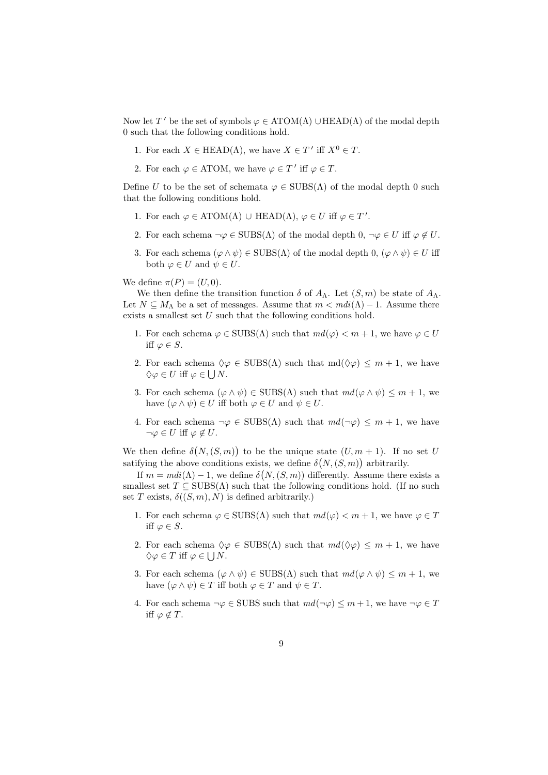Now let T' be the set of symbols  $\varphi \in \text{ATOM}(\Lambda) \cup \text{HEAD}(\Lambda)$  of the modal depth 0 such that the following conditions hold.

- 1. For each  $X \in \text{HEAD}(\Lambda)$ , we have  $X \in T'$  iff  $X^0 \in T$ .
- 2. For each  $\varphi \in \text{ATOM}$ , we have  $\varphi \in T'$  iff  $\varphi \in T$ .

Define U to be the set of schemata  $\varphi \in SUBS(\Lambda)$  of the modal depth 0 such that the following conditions hold.

- 1. For each  $\varphi \in \text{ATOM}(\Lambda) \cup \text{HEAD}(\Lambda)$ ,  $\varphi \in U$  iff  $\varphi \in T'$ .
- 2. For each schema  $\neg \varphi \in SUBS(\Lambda)$  of the modal depth  $0, \neg \varphi \in U$  iff  $\varphi \notin U$ .
- 3. For each schema  $(\varphi \wedge \psi) \in SUBS(\Lambda)$  of the modal depth  $0, (\varphi \wedge \psi) \in U$  iff both  $\varphi \in U$  and  $\psi \in U$ .

We define  $\pi(P) = (U, 0)$ .

We then define the transition function  $\delta$  of  $A_{\Lambda}$ . Let  $(S, m)$  be state of  $A_{\Lambda}$ . Let  $N \subseteq M_\Lambda$  be a set of messages. Assume that  $m < m di(\Lambda) - 1$ . Assume there exists a smallest set  $U$  such that the following conditions hold.

- 1. For each schema  $\varphi \in SUBS(\Lambda)$  such that  $md(\varphi) < m+1$ , we have  $\varphi \in U$ iff  $\varphi \in S$ .
- 2. For each schema  $\Diamond \varphi \in SUBS(\Lambda)$  such that  $md(\Diamond \varphi) \leq m+1$ , we have  $\Diamond \varphi \in U$  iff  $\varphi \in \bigcup N$ .
- 3. For each schema  $(\varphi \wedge \psi) \in SUBS(\Lambda)$  such that  $md(\varphi \wedge \psi) \leq m+1$ , we have  $(\varphi \wedge \psi) \in U$  iff both  $\varphi \in U$  and  $\psi \in U$ .
- 4. For each schema  $\neg \varphi \in SUBS(\Lambda)$  such that  $md(\neg \varphi) \leq m + 1$ , we have  $\neg \varphi \in U$  iff  $\varphi \notin U$ .

We then define  $\delta(N,(S,m))$  to be the unique state  $(U,m+1)$ . If no set U satifying the above conditions exists, we define  $\delta(N,(S,m))$  arbitrarily.

If  $m = mdi(\Lambda) - 1$ , we define  $\delta(N, (S, m))$  differently. Assume there exists a smallest set  $T \subseteq SUBS(\Lambda)$  such that the following conditions hold. (If no such set T exists,  $\delta((S, m), N)$  is defined arbitrarily.)

- 1. For each schema  $\varphi \in SUBS(\Lambda)$  such that  $md(\varphi) < m+1$ , we have  $\varphi \in T$ iff  $\varphi \in S$ .
- 2. For each schema  $\Diamond \varphi \in SUBS(\Lambda)$  such that  $md(\Diamond \varphi) \leq m+1$ , we have  $\Diamond \varphi \in T \text{ iff } \varphi \in \bigcup N$ .
- 3. For each schema  $(\varphi \wedge \psi) \in SUBS(\Lambda)$  such that  $md(\varphi \wedge \psi) \leq m+1$ , we have  $(\varphi \wedge \psi) \in T$  iff both  $\varphi \in T$  and  $\psi \in T$ .
- 4. For each schema  $\neg \varphi \in SUBS$  such that  $md(\neg \varphi) \leq m+1$ , we have  $\neg \varphi \in T$ iff  $\varphi \notin T$ .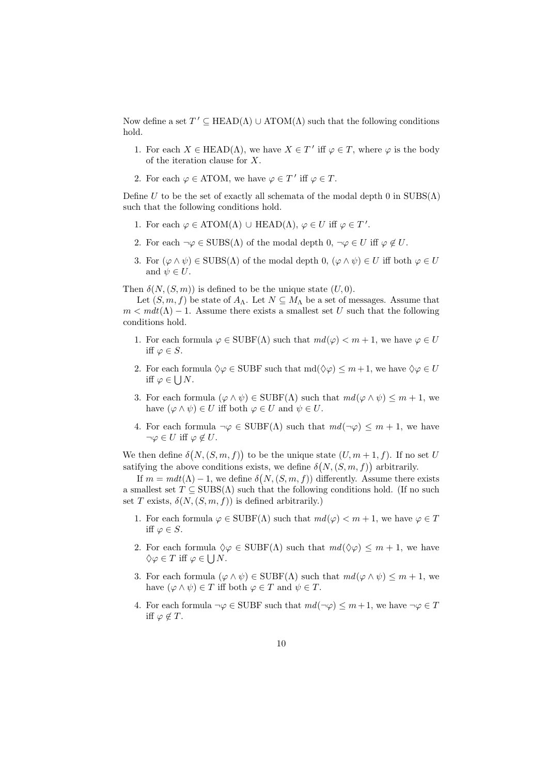Now define a set  $T' \subseteq \text{HEAD}(\Lambda) \cup \text{ATOM}(\Lambda)$  such that the following conditions hold.

- 1. For each  $X \in \text{HEAD}(\Lambda)$ , we have  $X \in T'$  iff  $\varphi \in T$ , where  $\varphi$  is the body of the iteration clause for X.
- 2. For each  $\varphi \in \text{ATOM}$ , we have  $\varphi \in T'$  iff  $\varphi \in T$ .

Define U to be the set of exactly all schemata of the modal depth 0 in  $SUBS(\Lambda)$ such that the following conditions hold.

- 1. For each  $\varphi \in \text{ATOM}(\Lambda) \cup \text{HEAD}(\Lambda)$ ,  $\varphi \in U$  iff  $\varphi \in T'$ .
- 2. For each  $\neg \varphi \in SUBS(\Lambda)$  of the modal depth  $0, \neg \varphi \in U$  iff  $\varphi \notin U$ .
- 3. For  $(\varphi \wedge \psi) \in SUBS(\Lambda)$  of the modal depth  $0, (\varphi \wedge \psi) \in U$  iff both  $\varphi \in U$ and  $\psi \in U$ .

Then  $\delta(N,(S,m))$  is defined to be the unique state  $(U, 0)$ .

Let  $(S, m, f)$  be state of  $A_{\Lambda}$ . Let  $N \subseteq M_{\Lambda}$  be a set of messages. Assume that  $m < m dt$ ( $\Lambda$ ) – 1. Assume there exists a smallest set U such that the following conditions hold.

- 1. For each formula  $\varphi \in \text{SUBF}(\Lambda)$  such that  $md(\varphi) < m+1$ , we have  $\varphi \in U$ iff  $\varphi \in S$ .
- 2. For each formula  $\Diamond \varphi \in \text{SUBF}$  such that  $\text{md}(\Diamond \varphi) \leq m+1$ , we have  $\Diamond \varphi \in U$ iff  $\varphi \in \bigcup N$ .
- 3. For each formula  $(\varphi \wedge \psi) \in \text{SUBF}(\Lambda)$  such that  $md(\varphi \wedge \psi) \leq m+1$ , we have  $(\varphi \wedge \psi) \in U$  iff both  $\varphi \in U$  and  $\psi \in U$ .
- 4. For each formula  $\neg \varphi \in \text{SUBF}(\Lambda)$  such that  $md(\neg \varphi) \leq m+1$ , we have  $\neg \varphi \in U$  iff  $\varphi \notin U$ .

We then define  $\delta(N,(S,m, f))$  to be the unique state  $(U, m+1, f)$ . If no set U satifying the above conditions exists, we define  $\delta(N,(S,m,f))$  arbitrarily.

If  $m = m dt(\Lambda) - 1$ , we define  $\delta(N, (S, m, f))$  differently. Assume there exists a smallest set  $T \subseteq SUBS(\Lambda)$  such that the following conditions hold. (If no such set T exists,  $\delta(N,(S,m,f))$  is defined arbitrarily.)

- 1. For each formula  $\varphi \in \text{SUBF}(\Lambda)$  such that  $md(\varphi) < m+1$ , we have  $\varphi \in T$ iff  $\varphi \in S$ .
- 2. For each formula  $\Diamond \varphi \in \text{SUBF}(\Lambda)$  such that  $md(\Diamond \varphi) \leq m+1$ , we have  $\Diamond \varphi \in T$  iff  $\varphi \in \bigcup N$ .
- 3. For each formula  $(\varphi \wedge \psi) \in \text{SUBF}(\Lambda)$  such that  $md(\varphi \wedge \psi) \leq m+1$ , we have  $(\varphi \wedge \psi) \in T$  iff both  $\varphi \in T$  and  $\psi \in T$ .
- 4. For each formula  $\neg \varphi \in \text{SUBF}$  such that  $md(\neg \varphi) \leq m+1$ , we have  $\neg \varphi \in T$ iff  $\varphi \notin T$ .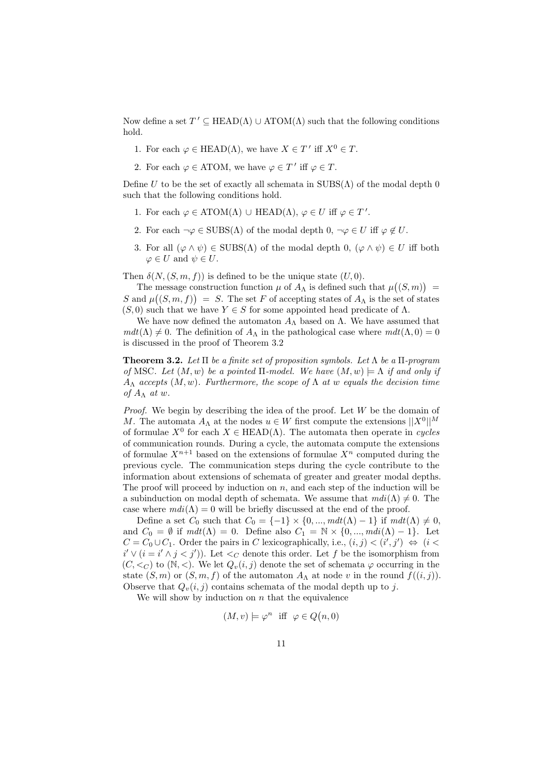Now define a set  $T' \subseteq \text{HEAD}(\Lambda) \cup \text{ATOM}(\Lambda)$  such that the following conditions hold.

- 1. For each  $\varphi \in \text{HEAD}(\Lambda)$ , we have  $X \in T'$  iff  $X^0 \in T$ .
- 2. For each  $\varphi \in \text{ATOM}$ , we have  $\varphi \in T'$  iff  $\varphi \in T$ .

Define U to be the set of exactly all schemata in  $SUBS(\Lambda)$  of the modal depth 0 such that the following conditions hold.

- 1. For each  $\varphi \in \text{ATOM}(\Lambda) \cup \text{HEAD}(\Lambda)$ ,  $\varphi \in U$  iff  $\varphi \in T'$ .
- 2. For each  $\neg \varphi \in SUBS(\Lambda)$  of the modal depth  $0, \neg \varphi \in U$  iff  $\varphi \notin U$ .
- 3. For all  $(\varphi \wedge \psi) \in SUBS(\Lambda)$  of the modal depth 0,  $(\varphi \wedge \psi) \in U$  iff both  $\varphi \in U$  and  $\psi \in U$ .

Then  $\delta(N,(S,m, f))$  is defined to be the unique state  $(U, 0)$ .

The message construction function  $\mu$  of  $A_{\Lambda}$  is defined such that  $\mu((S,m)) =$ S and  $\mu((S,m,f)) = S$ . The set F of accepting states of  $A_{\Lambda}$  is the set of states  $(S, 0)$  such that we have  $Y \in S$  for some appointed head predicate of  $\Lambda$ .

We have now defined the automaton  $A_{\Lambda}$  based on  $\Lambda$ . We have assumed that  $mdt(\Lambda) \neq 0$ . The definition of  $A_{\Lambda}$  in the pathological case where  $mdt(\Lambda, 0) = 0$ is discussed in the proof of Theorem 3.2

**Theorem 3.2.** Let  $\Pi$  be a finite set of proposition symbols. Let  $\Lambda$  be a  $\Pi$ -program of MSC. Let  $(M, w)$  be a pointed  $\Pi$ -model. We have  $(M, w) \models \Lambda$  if and only if  $A_{\Lambda}$  accepts  $(M, w)$ . Furthermore, the scope of  $\Lambda$  at w equals the decision time of  $A_\Lambda$  at w.

*Proof.* We begin by describing the idea of the proof. Let  $W$  be the domain of M. The automata  $A_{\Lambda}$  at the nodes  $u \in W$  first compute the extensions  $||X^{0}||^{M}$ of formulae  $X^0$  for each  $X \in \text{HEAD}(\Lambda)$ . The automata then operate in cycles of communication rounds. During a cycle, the automata compute the extensions of formulae  $X^{n+1}$  based on the extensions of formulae  $X^n$  computed during the previous cycle. The communication steps during the cycle contribute to the information about extensions of schemata of greater and greater modal depths. The proof will proceed by induction on  $n$ , and each step of the induction will be a subinduction on modal depth of schemata. We assume that  $mdi(\Lambda) \neq 0$ . The case where  $m\,(i(\Lambda) = 0$  will be briefly discussed at the end of the proof.

Define a set  $C_0$  such that  $C_0 = \{-1\} \times \{0, ..., m dt(\Lambda) - 1\}$  if  $m dt(\Lambda) \neq 0$ , and  $C_0 = \emptyset$  if  $mdt(\Lambda) = 0$ . Define also  $C_1 = \mathbb{N} \times \{0, ..., mdi(\Lambda) - 1\}$ . Let  $C = C_0 \cup C_1$ . Order the pairs in C lexicographically, i.e.,  $(i, j) < (i', j') \Leftrightarrow (i < j')$  $i' \vee (i = i' \wedge j < j')$ ). Let  $\langle C \rangle$  denote this order. Let f be the isomorphism from  $(C, \leq_C)$  to  $(N, \leq)$ . We let  $Q_v(i, j)$  denote the set of schemata  $\varphi$  occurring in the state  $(S, m)$  or  $(S, m, f)$  of the automaton  $A_{\Lambda}$  at node v in the round  $f((i, j))$ . Observe that  $Q_{\nu}(i, j)$  contains schemata of the modal depth up to j.

We will show by induction on  $n$  that the equivalence

$$
(M, v) \models \varphi^n
$$
 iff  $\varphi \in Q(n, 0)$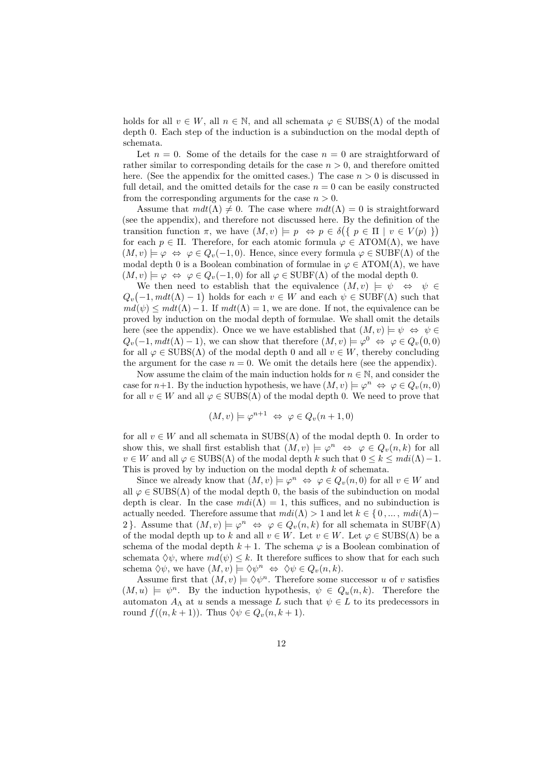holds for all  $v \in W$ , all  $n \in \mathbb{N}$ , and all schemata  $\varphi \in SUBS(\Lambda)$  of the modal depth 0. Each step of the induction is a subinduction on the modal depth of schemata.

Let  $n = 0$ . Some of the details for the case  $n = 0$  are straightforward of rather similar to corresponding details for the case  $n > 0$ , and therefore omitted here. (See the appendix for the omitted cases.) The case  $n > 0$  is discussed in full detail, and the omitted details for the case  $n = 0$  can be easily constructed from the corresponding arguments for the case  $n > 0$ .

Assume that  $mdt(\Lambda) \neq 0$ . The case where  $mdt(\Lambda) = 0$  is straightforward (see the appendix), and therefore not discussed here. By the definition of the transition function  $\pi$ , we have  $(M, v) \models p \Leftrightarrow p \in \delta(\{p \in \Pi \mid v \in V(p) \})$ for each  $p \in \Pi$ . Therefore, for each atomic formula  $\varphi \in \text{ATOM}(\Lambda)$ , we have  $(M, v) \models \varphi \Leftrightarrow \varphi \in Q_v(-1, 0)$ . Hence, since every formula  $\varphi \in \text{SUBF}(\Lambda)$  of the modal depth 0 is a Boolean combination of formulae in  $\varphi \in \text{ATOM}(\Lambda)$ , we have  $(M, v) \models \varphi \Leftrightarrow \varphi \in Q_v(-1, 0)$  for all  $\varphi \in \text{SUBF}(\Lambda)$  of the modal depth 0.

We then need to establish that the equivalence  $(M, v) \models \psi \Leftrightarrow \psi \in$  $Q_v(-1, m dt(\Lambda) - 1)$  holds for each  $v \in W$  and each  $\psi \in \text{SUBF}(\Lambda)$  such that  $md(\psi) \leq m dt(\Lambda) - 1$ . If  $m dt(\Lambda) = 1$ , we are done. If not, the equivalence can be proved by induction on the modal depth of formulae. We shall omit the details here (see the appendix). Once we we have established that  $(M, v) \models \psi \Leftrightarrow \psi \in$  $Q_v(-1, m dt(\Lambda) - 1)$ , we can show that therefore  $(M, v) \models \varphi^0 \Leftrightarrow \varphi \in Q_v(0, 0)$ for all  $\varphi \in SUBS(\Lambda)$  of the modal depth 0 and all  $v \in W$ , thereby concluding the argument for the case  $n = 0$ . We omit the details here (see the appendix).

Now assume the claim of the main induction holds for  $n \in \mathbb{N}$ , and consider the case for  $n+1$ . By the induction hypothesis, we have  $(M, v) \models \varphi^n \Leftrightarrow \varphi \in Q_v(n, 0)$ for all  $v \in W$  and all  $\varphi \in SUBS(\Lambda)$  of the modal depth 0. We need to prove that

$$
(M, v) \models \varphi^{n+1} \Leftrightarrow \varphi \in Q_v(n+1, 0)
$$

for all  $v \in W$  and all schemata in SUBS( $\Lambda$ ) of the modal depth 0. In order to show this, we shall first establish that  $(M, v) \models \varphi^n \Leftrightarrow \varphi \in Q_v(n, k)$  for all  $v \in W$  and all  $\varphi \in SUBS(\Lambda)$  of the modal depth k such that  $0 \leq k \leq m di(\Lambda) - 1$ . This is proved by by induction on the modal depth k of schemata.

Since we already know that  $(M, v) \models \varphi^n \Leftrightarrow \varphi \in Q_v(n, 0)$  for all  $v \in W$  and all  $\varphi \in SUBS(\Lambda)$  of the modal depth 0, the basis of the subinduction on modal depth is clear. In the case  $mdi(\Lambda) = 1$ , this suffices, and no subinduction is actually needed. Therefore assume that  $mdi(\Lambda) > 1$  and let  $k \in \{0, ..., mid(\Lambda) - \Lambda\}$ 2. Assume that  $(M, v) \models \varphi^n \Leftrightarrow \varphi \in Q_v(n, k)$  for all schemata in SUBF( $\Lambda$ ) of the modal depth up to k and all  $v \in W$ . Let  $v \in W$ . Let  $\varphi \in SUBS(\Lambda)$  be a schema of the modal depth  $k + 1$ . The schema  $\varphi$  is a Boolean combination of schemata  $\Diamond \psi$ , where  $md(\psi) \leq k$ . It therefore suffices to show that for each such schema  $\Diamond \psi$ , we have  $(M, v) \models \Diamond \psi^n \Leftrightarrow \Diamond \psi \in Q_v(n, k)$ .

Assume first that  $(M, v) \models \Diamond \psi^n$ . Therefore some successor u of v satisfies  $(M, u) \models \psi^n$ . By the induction hypothesis,  $\psi \in Q_u(n, k)$ . Therefore the automaton  $A_{\Lambda}$  at u sends a message L such that  $\psi \in L$  to its predecessors in round  $f((n, k+1))$ . Thus  $\Diamond \psi \in Q_v(n, k+1)$ .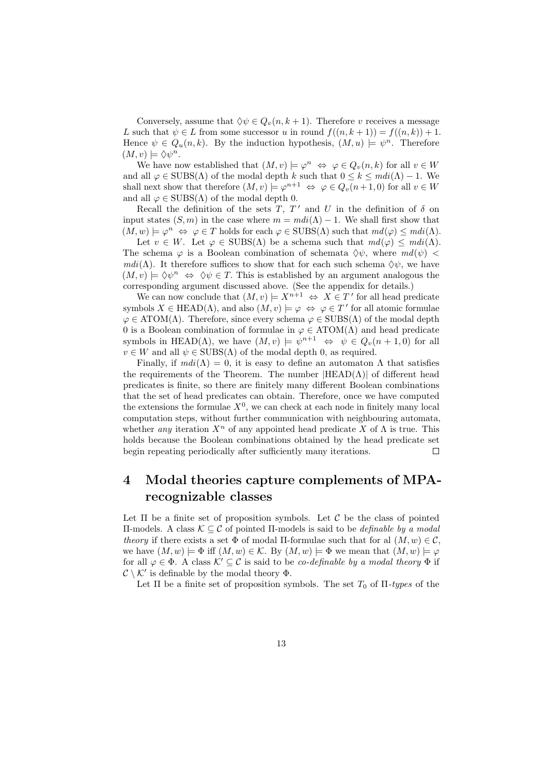Conversely, assume that  $\Diamond \psi \in Q_n(n, k+1)$ . Therefore v receives a message L such that  $\psi \in L$  from some successor u in round  $f((n, k+1)) = f((n, k)) + 1$ . Hence  $\psi \in Q_u(n,k)$ . By the induction hypothesis,  $(M, u) \models \psi^n$ . Therefore  $(M, v) \models \Diamond \psi^n$ .

We have now established that  $(M, v) \models \varphi^n \Leftrightarrow \varphi \in Q_v(n, k)$  for all  $v \in W$ and all  $\varphi \in SUBS(\Lambda)$  of the modal depth k such that  $0 \leq k \leq m di(\Lambda) - 1$ . We shall next show that therefore  $(M, v) \models \varphi^{n+1} \Leftrightarrow \varphi \in Q_v(n+1, 0)$  for all  $v \in W$ and all  $\varphi \in SUBS(\Lambda)$  of the modal depth 0.

Recall the definition of the sets T,  $T'$  and U in the definition of  $\delta$  on input states  $(S, m)$  in the case where  $m = mdi(\Lambda) - 1$ . We shall first show that  $(M, w) \models \varphi^n \Leftrightarrow \varphi \in T$  holds for each  $\varphi \in SUBS(\Lambda)$  such that  $md(\varphi) \leq mdi(\Lambda)$ .

Let  $v \in W$ . Let  $\varphi \in SUBS(\Lambda)$  be a schema such that  $md(\varphi) \leq mdi(\Lambda)$ . The schema  $\varphi$  is a Boolean combination of schemata  $\Diamond \psi$ , where  $md(\psi)$  <  $m\,(\Lambda)$ . It therefore suffices to show that for each such schema  $\Diamond \psi$ , we have  $(M, v) \models \Diamond \psi^n \Leftrightarrow \Diamond \psi \in T$ . This is established by an argument analogous the corresponding argument discussed above. (See the appendix for details.)

We can now conclude that  $(M, v) \models X^{n+1} \Leftrightarrow X \in T'$  for all head predicate symbols  $X \in \text{HEAD}(\Lambda)$ , and also  $(M, v) \models \varphi \Leftrightarrow \varphi \in T'$  for all atomic formulae  $\varphi \in \text{ATOM}(\Lambda)$ . Therefore, since every schema  $\varphi \in \text{SUBS}(\Lambda)$  of the modal depth 0 is a Boolean combination of formulae in  $\varphi \in \text{ATOM}(\Lambda)$  and head predicate symbols in HEAD( $\Lambda$ ), we have  $(M, v) \models \psi^{n+1} \Leftrightarrow \psi \in Q_v(n+1, 0)$  for all  $v \in W$  and all  $\psi \in SUBS(\Lambda)$  of the modal depth 0, as required.

Finally, if  $mdi(\Lambda) = 0$ , it is easy to define an automaton  $\Lambda$  that satisfies the requirements of the Theorem. The number  $|HEAD(\Lambda)|$  of different head predicates is finite, so there are finitely many different Boolean combinations that the set of head predicates can obtain. Therefore, once we have computed the extensions the formulae  $X^0$ , we can check at each node in finitely many local computation steps, without further communication with neighbouring automata, whether *any* iteration  $X^n$  of any appointed head predicate X of  $\Lambda$  is true. This holds because the Boolean combinations obtained by the head predicate set begin repeating periodically after sufficiently many iterations.  $\Box$ 

## 4 Modal theories capture complements of MPArecognizable classes

Let  $\Pi$  be a finite set of proposition symbols. Let  $\mathcal C$  be the class of pointed Π-models. A class K ⊆ C of pointed Π-models is said to be definable by a modal theory if there exists a set  $\Phi$  of modal II-formulae such that for al  $(M, w) \in \mathcal{C}$ , we have  $(M, w) \models \Phi$  iff  $(M, w) \in \mathcal{K}$ . By  $(M, w) \models \Phi$  we mean that  $(M, w) \models \varphi$ for all  $\varphi \in \Phi$ . A class  $\mathcal{K}' \subseteq \mathcal{C}$  is said to be *co-definable by a modal theory*  $\Phi$  if  $\mathcal{C} \setminus \mathcal{K}'$  is definable by the modal theory  $\Phi$ .

Let  $\Pi$  be a finite set of proposition symbols. The set  $T_0$  of  $\Pi$ -types of the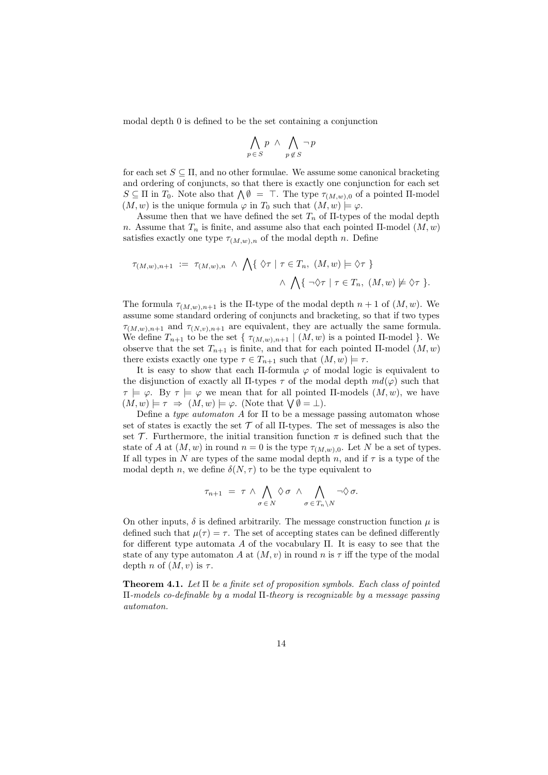modal depth 0 is defined to be the set containing a conjunction

$$
\bigwedge_{p\,\in\,S} p \ \wedge \ \bigwedge_{p\not\in\,S} \neg\, p
$$

for each set  $S \subseteq \Pi$ , and no other formulae. We assume some canonical bracketing and ordering of conjuncts, so that there is exactly one conjunction for each set  $S \subseteq \Pi$  in  $T_0$ . Note also that  $\bigwedge \emptyset = \top$ . The type  $\tau_{(M,w),0}$  of a pointed  $\Pi$ -model  $(M, w)$  is the unique formula  $\varphi$  in  $T_0$  such that  $(M, w) \models \varphi$ .

Assume then that we have defined the set  $T_n$  of  $\Pi$ -types of the modal depth n. Assume that  $T_n$  is finite, and assume also that each pointed  $\Pi$ -model  $(M, w)$ satisfies exactly one type  $\tau_{(M,w),n}$  of the modal depth n. Define

$$
\tau_{(M,w),n+1} := \tau_{(M,w),n} \wedge \bigwedge \{ \lozenge \tau \mid \tau \in T_n, (M,w) \models \lozenge \tau \} \wedge \bigwedge \{ \neg \lozenge \tau \mid \tau \in T_n, (M,w) \not\models \lozenge \tau \}.
$$

The formula  $\tau_{(M,w),n+1}$  is the II-type of the modal depth  $n+1$  of  $(M, w)$ . We assume some standard ordering of conjuncts and bracketing, so that if two types  $\tau_{(M,w),n+1}$  and  $\tau_{(N,v),n+1}$  are equivalent, they are actually the same formula. We define  $T_{n+1}$  to be the set {  $\tau_{(M,w),n+1} \mid (M,w)$  is a pointed II-model }. We observe that the set  $T_{n+1}$  is finite, and that for each pointed Π-model  $(M, w)$ there exists exactly one type  $\tau \in T_{n+1}$  such that  $(M, w) \models \tau$ .

It is easy to show that each II-formula  $\varphi$  of modal logic is equivalent to the disjunction of exactly all  $\Pi$ -types  $\tau$  of the modal depth  $md(\varphi)$  such that  $\tau \models \varphi$ . By  $\tau \models \varphi$  we mean that for all pointed II-models  $(M, w)$ , we have  $(M, w) \models \tau \Rightarrow (M, w) \models \varphi$ . (Note that  $\forall \emptyset = \bot$ ).

Define a type automaton A for  $\Pi$  to be a message passing automaton whose set of states is exactly the set  $\mathcal T$  of all II-types. The set of messages is also the set T. Furthermore, the initial transition function  $\pi$  is defined such that the state of A at  $(M, w)$  in round  $n = 0$  is the type  $\tau_{(M, w), 0}$ . Let N be a set of types. If all types in N are types of the same modal depth n, and if  $\tau$  is a type of the modal depth n, we define  $\delta(N, \tau)$  to be the type equivalent to

$$
\tau_{n+1} = \tau \wedge \bigwedge_{\sigma \in N} \Diamond \sigma \wedge \bigwedge_{\sigma \in T_n \setminus N} \neg \Diamond \sigma.
$$

On other inputs,  $\delta$  is defined arbitrarily. The message construction function  $\mu$  is defined such that  $\mu(\tau) = \tau$ . The set of accepting states can be defined differently for different type automata A of the vocabulary  $\Pi$ . It is easy to see that the state of any type automaton A at  $(M, v)$  in round n is  $\tau$  iff the type of the modal depth n of  $(M, v)$  is  $\tau$ .

**Theorem 4.1.** Let  $\Pi$  be a finite set of proposition symbols. Each class of pointed Π-models co-definable by a modal Π-theory is recognizable by a message passing automaton.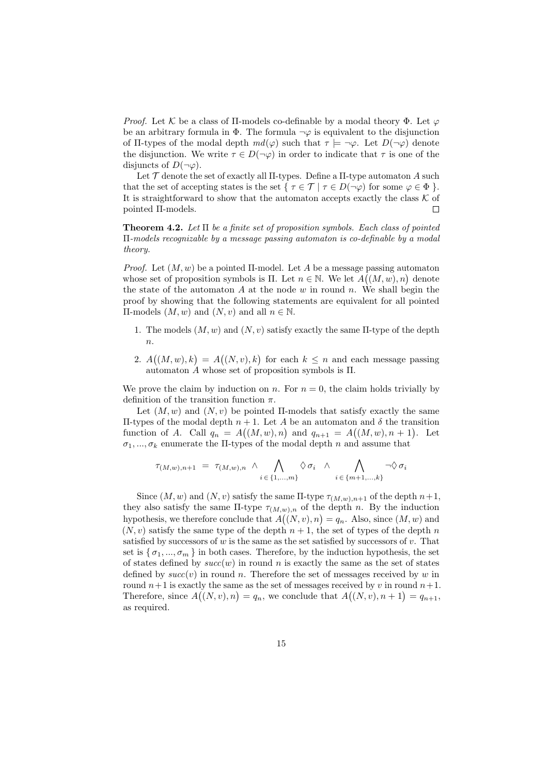Proof. Let K be a class of  $\Pi$ -models co-definable by a modal theory  $\Phi$ . Let  $\varphi$ be an arbitrary formula in  $\Phi$ . The formula  $\neg \varphi$  is equivalent to the disjunction of Π-types of the modal depth  $md(\varphi)$  such that  $\tau \models \neg \varphi$ . Let  $D(\neg \varphi)$  denote the disjunction. We write  $\tau \in D(\neg \varphi)$  in order to indicate that  $\tau$  is one of the disjuncts of  $D(\neg \varphi)$ .

Let  $\mathcal T$  denote the set of exactly all II-types. Define a II-type automaton A such that the set of accepting states is the set  $\{\tau \in \mathcal{T} \mid \tau \in D(\neg \varphi) \text{ for some } \varphi \in \Phi \}$ . It is straightforward to show that the automaton accepts exactly the class  $K$  of pointed Π-models.  $\Box$ 

**Theorem 4.2.** Let  $\Pi$  be a finite set of proposition symbols. Each class of pointed Π-models recognizable by a message passing automaton is co-definable by a modal theory.

*Proof.* Let  $(M, w)$  be a pointed II-model. Let A be a message passing automaton whose set of proposition symbols is  $\Pi$ . Let  $n \in \mathbb{N}$ . We let  $A((M, w), n)$  denote the state of the automaton  $A$  at the node  $w$  in round  $n$ . We shall begin the proof by showing that the following statements are equivalent for all pointed  $\Pi$ -models  $(M, w)$  and  $(N, v)$  and all  $n \in \mathbb{N}$ .

- 1. The models  $(M, w)$  and  $(N, v)$  satisfy exactly the same II-type of the depth  $n$ .
- 2.  $A((M, w), k) = A((N, v), k)$  for each  $k \leq n$  and each message passing automaton A whose set of proposition symbols is Π.

We prove the claim by induction on n. For  $n = 0$ , the claim holds trivially by definition of the transition function  $\pi$ .

Let  $(M, w)$  and  $(N, v)$  be pointed II-models that satisfy exactly the same Π-types of the modal depth n + 1. Let A be an automaton and δ the transition function of A. Call  $q_n = A((M, w), n)$  and  $q_{n+1} = A((M, w), n + 1)$ . Let  $\sigma_1, ..., \sigma_k$  enumerate the II-types of the modal depth n and assume that

$$
\tau_{(M,w),n+1} = \tau_{(M,w),n} \wedge \bigwedge_{i \in \{1,\dots,m\}} \Diamond \sigma_i \wedge \bigwedge_{i \in \{m+1,\dots,k\}} \neg \Diamond \sigma_i
$$

Since  $(M, w)$  and  $(N, v)$  satisfy the same II-type  $\tau_{(M, w), n+1}$  of the depth  $n+1$ , they also satisfy the same  $\Pi$ -type  $\tau_{(M,w),n}$  of the depth n. By the induction hypothesis, we therefore conclude that  $A((N, v), n) = q_n$ . Also, since  $(M, w)$  and  $(N, v)$  satisfy the same type of the depth  $n + 1$ , the set of types of the depth n satisfied by successors of w is the same as the set satisfied by successors of  $v$ . That set is  $\{\sigma_1, ..., \sigma_m\}$  in both cases. Therefore, by the induction hypothesis, the set of states defined by  $succ(w)$  in round n is exactly the same as the set of states defined by  $succ(v)$  in round n. Therefore the set of messages received by w in round  $n+1$  is exactly the same as the set of messages received by v in round  $n+1$ . Therefore, since  $A((N, v), n) = q_n$ , we conclude that  $A((N, v), n + 1) = q_{n+1}$ , as required.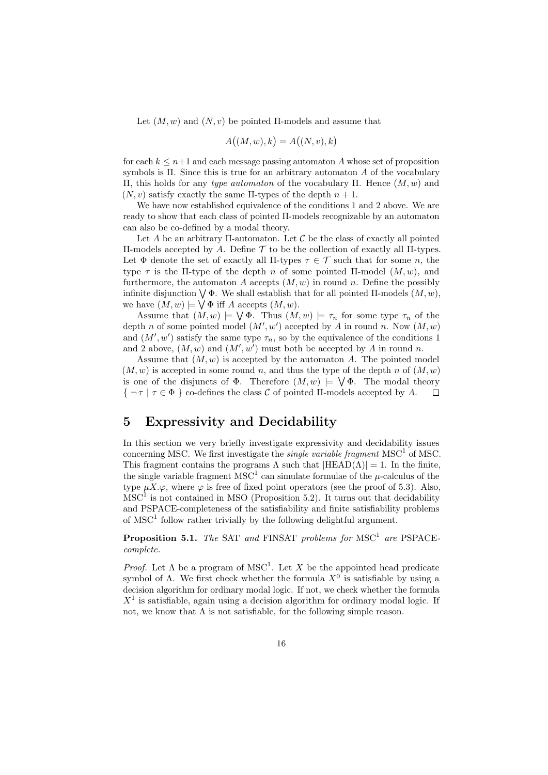Let  $(M, w)$  and  $(N, v)$  be pointed II-models and assume that

$$
A((M, w), k) = A((N, v), k)
$$

for each  $k \leq n+1$  and each message passing automaton A whose set of proposition symbols is Π. Since this is true for an arbitrary automaton A of the vocabulary Π, this holds for any type automaton of the vocabulary Π. Hence (M, w) and  $(N, v)$  satisfy exactly the same II-types of the depth  $n + 1$ .

We have now established equivalence of the conditions 1 and 2 above. We are ready to show that each class of pointed Π-models recognizable by an automaton can also be co-defined by a modal theory.

Let A be an arbitrary II-automaton. Let  $\mathcal C$  be the class of exactly all pointed Π-models accepted by A. Define T to be the collection of exactly all Π-types. Let  $\Phi$  denote the set of exactly all  $\Pi$ -types  $\tau \in \mathcal{T}$  such that for some n, the type  $\tau$  is the Π-type of the depth n of some pointed Π-model  $(M, w)$ , and furthermore, the automaton A accepts  $(M, w)$  in round n. Define the possibly infinite disjunction  $\bigvee \Phi$ . We shall establish that for all pointed  $\Pi$ -models  $(M, w)$ , we have  $(M, w) \models \bigvee \Phi$  iff A accepts  $(M, w)$ .

Assume that  $(M, w) \models \bigvee \Phi$ . Thus  $(M, w) \models \tau_n$  for some type  $\tau_n$  of the depth n of some pointed model  $(M', w')$  accepted by A in round n. Now  $(M, w)$ and  $(M', w')$  satisfy the same type  $\tau_n$ , so by the equivalence of the conditions 1 and 2 above,  $(M, w)$  and  $(M', w')$  must both be accepted by A in round n.

Assume that  $(M, w)$  is accepted by the automaton A. The pointed model  $(M, w)$  is accepted in some round n, and thus the type of the depth n of  $(M, w)$ is one of the disjuncts of  $\Phi$ . Therefore  $(M, w) \models \bigvee \Phi$ . The modal theory  $\{\neg \tau \mid \tau \in \Phi\}$  co-defines the class C of pointed II-models accepted by A.  $\Box$ 

#### 5 Expressivity and Decidability

In this section we very briefly investigate expressivity and decidability issues concerning MSC. We first investigate the *single variable fragment*  $MSC^1$  of MSC. This fragment contains the programs  $\Lambda$  such that  $|HEAD(\Lambda)| = 1$ . In the finite, the single variable fragment  ${\rm MSC}^1$  can simulate formulae of the  $\mu$ -calculus of the type  $\mu X.\varphi$ , where  $\varphi$  is free of fixed point operators (see the proof of 5.3). Also,  $\mathrm{MSC}^1$  is not contained in MSO (Proposition 5.2). It turns out that decidability and PSPACE-completeness of the satisfiability and finite satisfiability problems of  ${\rm MSC}^1$  follow rather trivially by the following delightful argument.

**Proposition 5.1.** The SAT and FINSAT problems for  $MSC^1$  are PSPACEcomplete.

*Proof.* Let  $\Lambda$  be a program of MSC<sup>1</sup>. Let X be the appointed head predicate symbol of  $\Lambda$ . We first check whether the formula  $X^0$  is satisfiable by using a decision algorithm for ordinary modal logic. If not, we check whether the formula  $X<sup>1</sup>$  is satisfiable, again using a decision algorithm for ordinary modal logic. If not, we know that  $\Lambda$  is not satisfiable, for the following simple reason.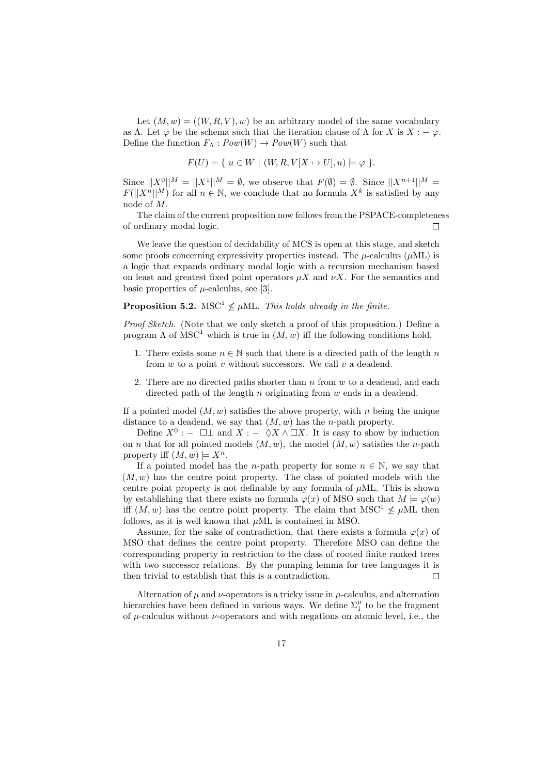Let  $(M, w) = ((W, R, V), w)$  be an arbitrary model of the same vocabulary as Λ. Let  $\varphi$  be the schema such that the iteration clause of  $\Lambda$  for X is  $X : -\varphi$ . Define the function  $F_{\Lambda}: Pow(W) \to Pow(W)$  such that

$$
F(U) = \{ u \in W \mid (W, R, V[X \mapsto U], u) \models \varphi \}.
$$

Since  $||X^0||^M = ||X^1||^M = \emptyset$ , we observe that  $F(\emptyset) = \emptyset$ . Since  $||X^{n+1}||^M =$  $F(||X^n||^M)$  for all  $n \in \mathbb{N}$ , we conclude that no formula  $X^k$  is satisfied by any node of M.

The claim of the current proposition now follows from the PSPACE-completeness of ordinary modal logic.  $\Box$ 

We leave the question of decidability of MCS is open at this stage, and sketch some proofs concerning expressivity properties instead. The  $\mu$ -calculus ( $\mu$ ML) is a logic that expands ordinary modal logic with a recursion mechanism based on least and greatest fixed point operators  $\mu X$  and  $\nu X$ . For the semantics and basic properties of  $\mu$ -calculus, see [3].

#### **Proposition 5.2.** MSC<sup>1</sup>  $\nleq \mu$ ML. This holds already in the finite.

Proof Sketch. (Note that we only sketch a proof of this proposition.) Define a program  $\Lambda$  of MSC<sup>1</sup> which is true in  $(M, w)$  iff the following conditions hold.

- 1. There exists some  $n \in \mathbb{N}$  such that there is a directed path of the length n from  $w$  to a point  $v$  without successors. We call  $v$  a deadend.
- 2. There are no directed paths shorter than  $n \text{ from } w$  to a deadend, and each directed path of the length  $n$  originating from  $w$  ends in a deadend.

If a pointed model  $(M, w)$  satisfies the above property, with n being the unique distance to a deadend, we say that  $(M, w)$  has the *n*-path property.

Define  $X^0: - \Box \bot$  and  $X: - \Diamond X \wedge \Box X$ . It is easy to show by induction on *n* that for all pointed models  $(M, w)$ , the model  $(M, w)$  satisfies the *n*-path property iff  $(M, w) \models X^n$ .

If a pointed model has the *n*-path property for some  $n \in \mathbb{N}$ , we say that  $(M, w)$  has the centre point property. The class of pointed models with the centre point property is not definable by any formula of  $\mu$ ML. This is shown by establishing that there exists no formula  $\varphi(x)$  of MSO such that  $M \models \varphi(w)$ iff  $(M, w)$  has the centre point property. The claim that  $MSC^1 \nleq \mu ML$  then follows, as it is well known that  $\mu$ ML is contained in MSO.

Assume, for the sake of contradiction, that there exists a formula  $\varphi(x)$  of MSO that defines the centre point property. Therefore MSO can define the corresponding property in restriction to the class of rooted finite ranked trees with two successor relations. By the pumping lemma for tree languages it is then trivial to establish that this is a contradiction.  $\Box$ 

Alternation of  $\mu$  and  $\nu$ -operators is a tricky issue in  $\mu$ -calculus, and alternation hierarchies have been defined in various ways. We define  $\Sigma_1^{\mu}$  to be the fragment of  $\mu$ -calculus without  $\nu$ -operators and with negations on atomic level, i.e., the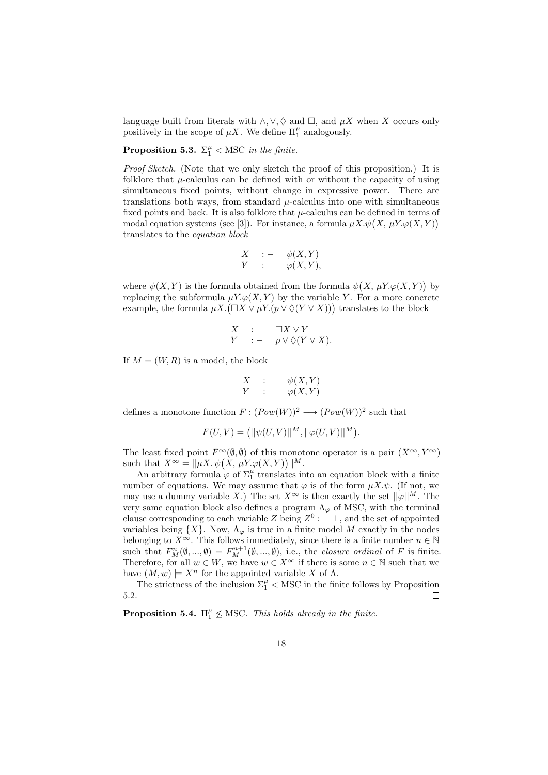language built from literals with  $\land$ ,  $\lor$ ,  $\Diamond$  and  $\Box$ , and  $\mu X$  when X occurs only positively in the scope of  $\mu X$ . We define  $\Pi_1^{\mu}$  analogously.

**Proposition 5.3.**  $\Sigma_1^{\mu} <$  MSC in the finite.

Proof Sketch. (Note that we only sketch the proof of this proposition.) It is folklore that  $\mu$ -calculus can be defined with or without the capacity of using simultaneous fixed points, without change in expressive power. There are translations both ways, from standard  $\mu$ -calculus into one with simultaneous fixed points and back. It is also folklore that  $\mu$ -calculus can be defined in terms of modal equation systems (see [3]). For instance, a formula  $\mu X.\psi(X, \mu Y.\varphi(X, Y))$ translates to the equation block

$$
\begin{array}{rcl}\nX & \cdot & \cdot & \psi(X,Y) \\
Y & \cdot & \cdot & \varphi(X,Y),\n\end{array}
$$

where  $\psi(X, Y)$  is the formula obtained from the formula  $\psi(X, \mu Y. \varphi(X, Y))$  by replacing the subformula  $\mu Y \varphi(X, Y)$  by the variable Y. For a more concrete example, the formula  $\mu X. (\Box X \lor \mu Y. (p \lor \Diamond (Y \lor X)))$  translates to the block

$$
\begin{array}{rcl}\nX & : & - & \Box X \vee Y \\
Y & : & - & p \vee \Diamond(Y \vee X).\n\end{array}
$$

If  $M = (W, R)$  is a model, the block

$$
\begin{array}{rcl}\nX & := & \psi(X,Y) \\
Y & := & \varphi(X,Y)\n\end{array}
$$

defines a monotone function  $F: (Pow(W))^2 \longrightarrow (Pow(W))^2$  such that

$$
F(U, V) = (||\psi(U, V)||^{M}, ||\varphi(U, V)||^{M}).
$$

The least fixed point  $F^{\infty}(\emptyset, \emptyset)$  of this monotone operator is a pair  $(X^{\infty}, Y^{\infty})$ such that  $X^{\infty} = ||\mu X \cdot \psi(X, \mu Y \cdot \varphi(X, Y))||^{M}$ .

An arbitrary formula  $\varphi$  of  $\Sigma_1^{\mu}$  translates into an equation block with a finite number of equations. We may assume that  $\varphi$  is of the form  $\mu X.\psi$ . (If not, we may use a dummy variable X.) The set  $X^{\infty}$  is then exactly the set  $\|\varphi\|^{M}$ . The very same equation block also defines a program  $\Lambda_{\varphi}$  of MSC, with the terminal clause corresponding to each variable Z being  $Z^0: - \perp$ , and the set of appointed variables being  $\{X\}$ . Now,  $\Lambda_{\varphi}$  is true in a finite model M exactly in the nodes belonging to  $X^{\infty}$ . This follows immediately, since there is a finite number  $n \in \mathbb{N}$ such that  $F_M^n(\emptyset, ..., \emptyset) = F_M^{n+1}(\emptyset, ..., \emptyset)$ , i.e., the *closure ordinal* of F is finite. Therefore, for all  $w \in W$ , we have  $w \in X^{\infty}$  if there is some  $n \in \mathbb{N}$  such that we have  $(M, w) \models X^n$  for the appointed variable X of  $\Lambda$ .

The strictness of the inclusion  $\Sigma_1^{\mu} <$  MSC in the finite follows by Proposition 5.2.  $\Box$ 

**Proposition 5.4.**  $\Pi_1^{\mu} \nleq \text{MSC}$ . This holds already in the finite.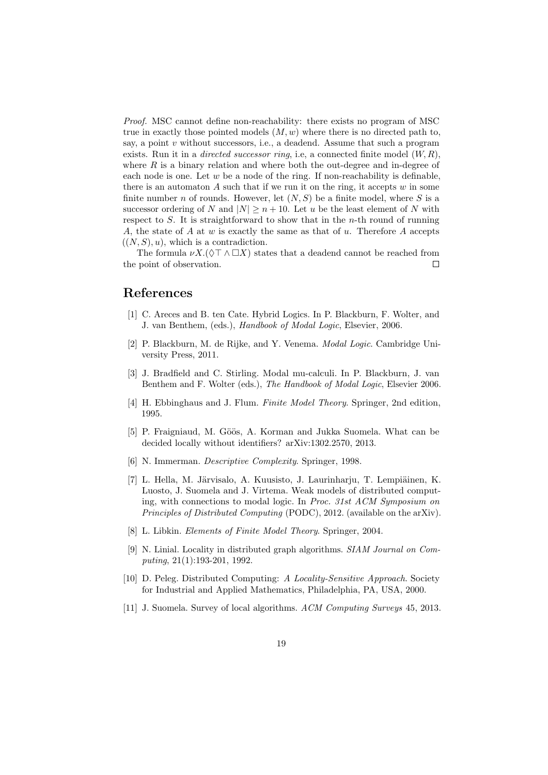Proof. MSC cannot define non-reachability: there exists no program of MSC true in exactly those pointed models  $(M, w)$  where there is no directed path to, say, a point  $v$  without successors, i.e., a deadend. Assume that such a program exists. Run it in a *directed successor ring*, i.e, a connected finite model  $(W, R)$ , where  $R$  is a binary relation and where both the out-degree and in-degree of each node is one. Let  $w$  be a node of the ring. If non-reachability is definable, there is an automaton  $A$  such that if we run it on the ring, it accepts  $w$  in some finite number n of rounds. However, let  $(N, S)$  be a finite model, where S is a successor ordering of N and  $|N| \ge n + 10$ . Let u be the least element of N with respect to  $S$ . It is straightforward to show that in the *n*-th round of running A, the state of A at  $w$  is exactly the same as that of  $u$ . Therefore A accepts  $((N, S), u)$ , which is a contradiction.

The formula  $\nu X.(\Diamond \top \land \Box X)$  states that a deadend cannot be reached from the point of observation.  $\Box$ 

#### References

- [1] C. Areces and B. ten Cate. Hybrid Logics. In P. Blackburn, F. Wolter, and J. van Benthem, (eds.), Handbook of Modal Logic, Elsevier, 2006.
- [2] P. Blackburn, M. de Rijke, and Y. Venema. Modal Logic. Cambridge University Press, 2011.
- [3] J. Bradfield and C. Stirling. Modal mu-calculi. In P. Blackburn, J. van Benthem and F. Wolter (eds.), The Handbook of Modal Logic, Elsevier 2006.
- [4] H. Ebbinghaus and J. Flum. Finite Model Theory. Springer, 2nd edition, 1995.
- [5] P. Fraigniaud, M. Göös, A. Korman and Jukka Suomela. What can be decided locally without identifiers? arXiv:1302.2570, 2013.
- [6] N. Immerman. Descriptive Complexity. Springer, 1998.
- [7] L. Hella, M. Järvisalo, A. Kuusisto, J. Laurinharju, T. Lempiäinen, K. Luosto, J. Suomela and J. Virtema. Weak models of distributed computing, with connections to modal logic. In Proc. 31st ACM Symposium on Principles of Distributed Computing (PODC), 2012. (available on the arXiv).
- [8] L. Libkin. Elements of Finite Model Theory. Springer, 2004.
- [9] N. Linial. Locality in distributed graph algorithms. SIAM Journal on Computing, 21(1):193-201, 1992.
- [10] D. Peleg. Distributed Computing: A Locality-Sensitive Approach. Society for Industrial and Applied Mathematics, Philadelphia, PA, USA, 2000.
- [11] J. Suomela. Survey of local algorithms. ACM Computing Surveys 45, 2013.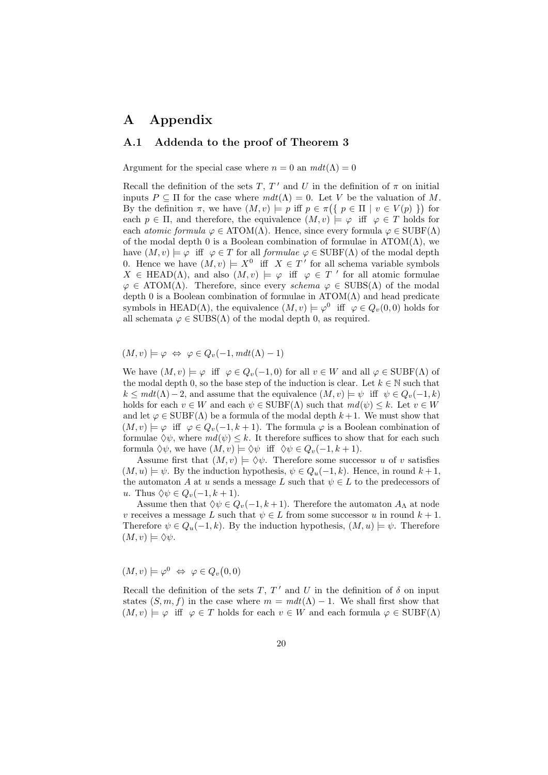### A Appendix

#### A.1 Addenda to the proof of Theorem 3

Argument for the special case where  $n = 0$  an  $m dt(\Lambda) = 0$ 

Recall the definition of the sets T, T' and U in the definition of  $\pi$  on initial inputs  $P \subseteq \Pi$  for the case where  $m dt(\Lambda) = 0$ . Let V be the valuation of M. By the definition  $\pi$ , we have  $(M, v) \models p$  iff  $p \in \pi({p \in \Pi \mid v \in V(p) })$  for each  $p \in \Pi$ , and therefore, the equivalence  $(M, v) \models \varphi$  iff  $\varphi \in T$  holds for each *atomic formula*  $\varphi \in \text{ATOM}(\Lambda)$ . Hence, since every formula  $\varphi \in \text{SUBF}(\Lambda)$ of the modal depth 0 is a Boolean combination of formulae in  $ATOM(\Lambda)$ , we have  $(M, v) \models \varphi$  iff  $\varphi \in T$  for all *formulae*  $\varphi \in \text{SUBF}(\Lambda)$  of the modal depth 0. Hence we have  $(M, v) \models X^0$  iff  $X \in T'$  for all schema variable symbols  $X \in \text{HEAD}(\Lambda)$ , and also  $(M, v) \models \varphi$  iff  $\varphi \in T'$  for all atomic formulae  $\varphi \in \text{ATOM}(\Lambda)$ . Therefore, since every schema  $\varphi \in \text{SUBS}(\Lambda)$  of the modal depth 0 is a Boolean combination of formulae in  $ATOM(\Lambda)$  and head predicate symbols in HEAD( $\Lambda$ ), the equivalence  $(M, v) \models \varphi^0$  iff  $\varphi \in Q_v(0, 0)$  holds for all schemata  $\varphi \in SUBS(\Lambda)$  of the modal depth 0, as required.

 $(M, v) \models \varphi \Leftrightarrow \varphi \in Q_v(-1, m dt(\Lambda) - 1)$ 

We have  $(M, v) \models \varphi$  iff  $\varphi \in Q_v(-1, 0)$  for all  $v \in W$  and all  $\varphi \in \text{SUBF}(\Lambda)$  of the modal depth 0, so the base step of the induction is clear. Let  $k \in \mathbb{N}$  such that  $k \leq m dt(\Lambda) - 2$ , and assume that the equivalence  $(M, v) \models \psi$  iff  $\psi \in Q_v(-1, k)$ holds for each  $v \in W$  and each  $\psi \in \text{SUBF}(\Lambda)$  such that  $md(\psi) \leq k$ . Let  $v \in W$ and let  $\varphi \in \text{SUBF}(\Lambda)$  be a formula of the modal depth  $k+1$ . We must show that  $(M, v) \models \varphi$  iff  $\varphi \in Q_v(-1, k+1)$ . The formula  $\varphi$  is a Boolean combination of formulae  $\Diamond \psi$ , where  $md(\psi) \leq k$ . It therefore suffices to show that for each such formula  $\Diamond \psi$ , we have  $(M, v) \models \Diamond \psi$  iff  $\Diamond \psi \in Q_v(-1, k+1)$ .

Assume first that  $(M, v) \models \Diamond \psi$ . Therefore some successor u of v satisfies  $(M, u) \models \psi$ . By the induction hypothesis,  $\psi \in Q_u(-1, k)$ . Hence, in round  $k+1$ , the automaton A at u sends a message L such that  $\psi \in L$  to the predecessors of u. Thus  $\Diamond \psi \in Q_v(-1, k+1)$ .

Assume then that  $\Diamond \psi \in Q_v(-1, k+1)$ . Therefore the automaton  $A_\Lambda$  at node v receives a message L such that  $\psi \in L$  from some successor u in round  $k+1$ . Therefore  $\psi \in Q_u(-1,k)$ . By the induction hypothesis,  $(M, u) \models \psi$ . Therefore  $(M, v) \models \Diamond \psi.$ 

 $(M, v) \models \varphi^0 \Leftrightarrow \varphi \in Q_v(0, 0)$ 

Recall the definition of the sets T,  $T'$  and U in the definition of  $\delta$  on input states  $(S, m, f)$  in the case where  $m = m dt(\Lambda) - 1$ . We shall first show that  $(M, v) \models \varphi$  iff  $\varphi \in T$  holds for each  $v \in W$  and each formula  $\varphi \in \mathrm{SUBF}(\Lambda)$